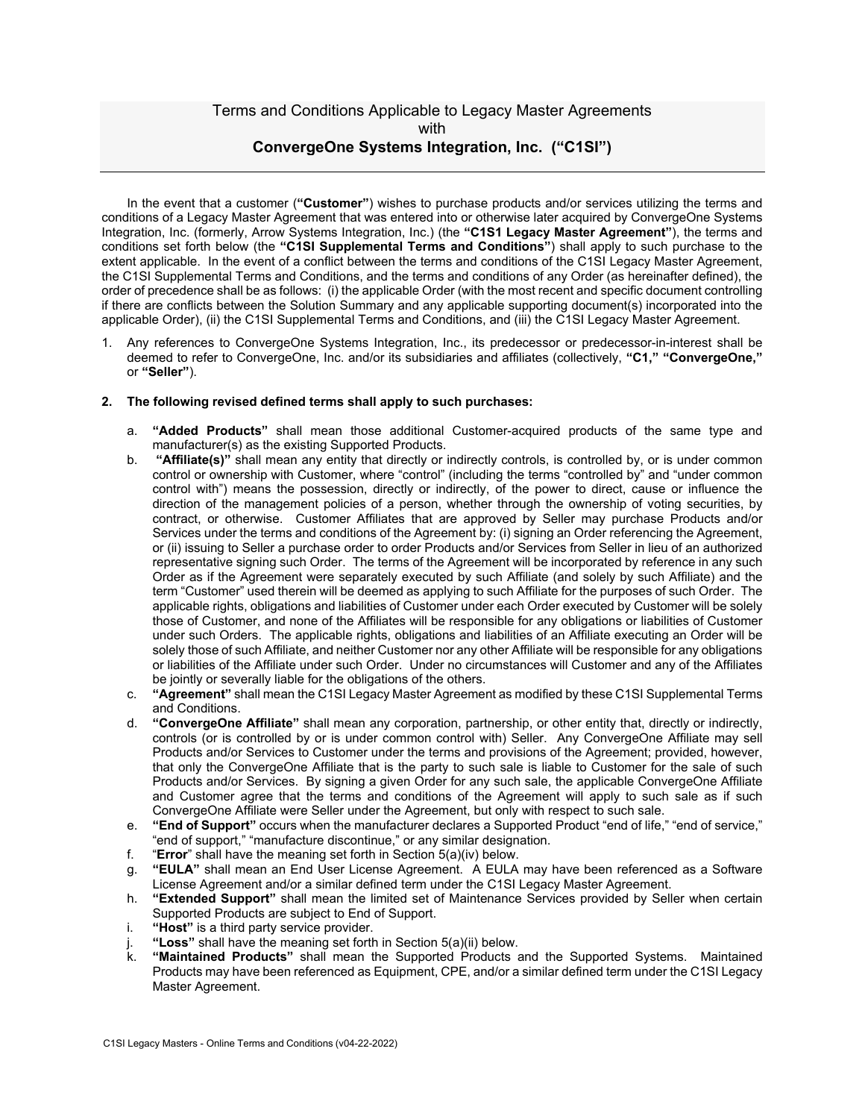# Terms and Conditions Applicable to Legacy Master Agreements with **ConvergeOne Systems Integration, Inc. ("C1SI")**

In the event that a customer (**"Customer"**) wishes to purchase products and/or services utilizing the terms and conditions of a Legacy Master Agreement that was entered into or otherwise later acquired by ConvergeOne Systems Integration, Inc. (formerly, Arrow Systems Integration, Inc.) (the **"C1S1 Legacy Master Agreement"**), the terms and conditions set forth below (the **"C1SI Supplemental Terms and Conditions"**) shall apply to such purchase to the extent applicable. In the event of a conflict between the terms and conditions of the C1SI Legacy Master Agreement, the C1SI Supplemental Terms and Conditions, and the terms and conditions of any Order (as hereinafter defined), the order of precedence shall be as follows: (i) the applicable Order (with the most recent and specific document controlling if there are conflicts between the Solution Summary and any applicable supporting document(s) incorporated into the applicable Order), (ii) the C1SI Supplemental Terms and Conditions, and (iii) the C1SI Legacy Master Agreement.

1. Any references to ConvergeOne Systems Integration, Inc., its predecessor or predecessor-in-interest shall be deemed to refer to ConvergeOne, Inc. and/or its subsidiaries and affiliates (collectively, **"C1," "ConvergeOne,"** or **"Seller"**).

### **2. The following revised defined terms shall apply to such purchases:**

- a. **"Added Products"** shall mean those additional Customer-acquired products of the same type and manufacturer(s) as the existing Supported Products.
- b. **"Affiliate(s)"** shall mean any entity that directly or indirectly controls, is controlled by, or is under common control or ownership with Customer, where "control" (including the terms "controlled by" and "under common control with") means the possession, directly or indirectly, of the power to direct, cause or influence the direction of the management policies of a person, whether through the ownership of voting securities, by contract, or otherwise. Customer Affiliates that are approved by Seller may purchase Products and/or Services under the terms and conditions of the Agreement by: (i) signing an Order referencing the Agreement, or (ii) issuing to Seller a purchase order to order Products and/or Services from Seller in lieu of an authorized representative signing such Order. The terms of the Agreement will be incorporated by reference in any such Order as if the Agreement were separately executed by such Affiliate (and solely by such Affiliate) and the term "Customer" used therein will be deemed as applying to such Affiliate for the purposes of such Order. The applicable rights, obligations and liabilities of Customer under each Order executed by Customer will be solely those of Customer, and none of the Affiliates will be responsible for any obligations or liabilities of Customer under such Orders. The applicable rights, obligations and liabilities of an Affiliate executing an Order will be solely those of such Affiliate, and neither Customer nor any other Affiliate will be responsible for any obligations or liabilities of the Affiliate under such Order. Under no circumstances will Customer and any of the Affiliates be jointly or severally liable for the obligations of the others.
- c. **"Agreement"** shall mean the C1SI Legacy Master Agreement as modified by these C1SI Supplemental Terms and Conditions.
- d. **"ConvergeOne Affiliate"** shall mean any corporation, partnership, or other entity that, directly or indirectly, controls (or is controlled by or is under common control with) Seller. Any ConvergeOne Affiliate may sell Products and/or Services to Customer under the terms and provisions of the Agreement; provided, however, that only the ConvergeOne Affiliate that is the party to such sale is liable to Customer for the sale of such Products and/or Services. By signing a given Order for any such sale, the applicable ConvergeOne Affiliate and Customer agree that the terms and conditions of the Agreement will apply to such sale as if such ConvergeOne Affiliate were Seller under the Agreement, but only with respect to such sale.
- e. **"End of Support"** occurs when the manufacturer declares a Supported Product "end of life," "end of service," "end of support," "manufacture discontinue," or any similar designation.
- f. "**Error**" shall have the meaning set forth in Section 5(a)(iv) below.
- g. **"EULA"** shall mean an End User License Agreement. A EULA may have been referenced as a Software License Agreement and/or a similar defined term under the C1SI Legacy Master Agreement.
- h. **"Extended Support"** shall mean the limited set of Maintenance Services provided by Seller when certain Supported Products are subject to End of Support.
- i. **"Host"** is a third party service provider.
- "Loss" shall have the meaning set forth in Section 5(a)(ii) below.
- k. **"Maintained Products"** shall mean the Supported Products and the Supported Systems. Maintained Products may have been referenced as Equipment, CPE, and/or a similar defined term under the C1SI Legacy Master Agreement.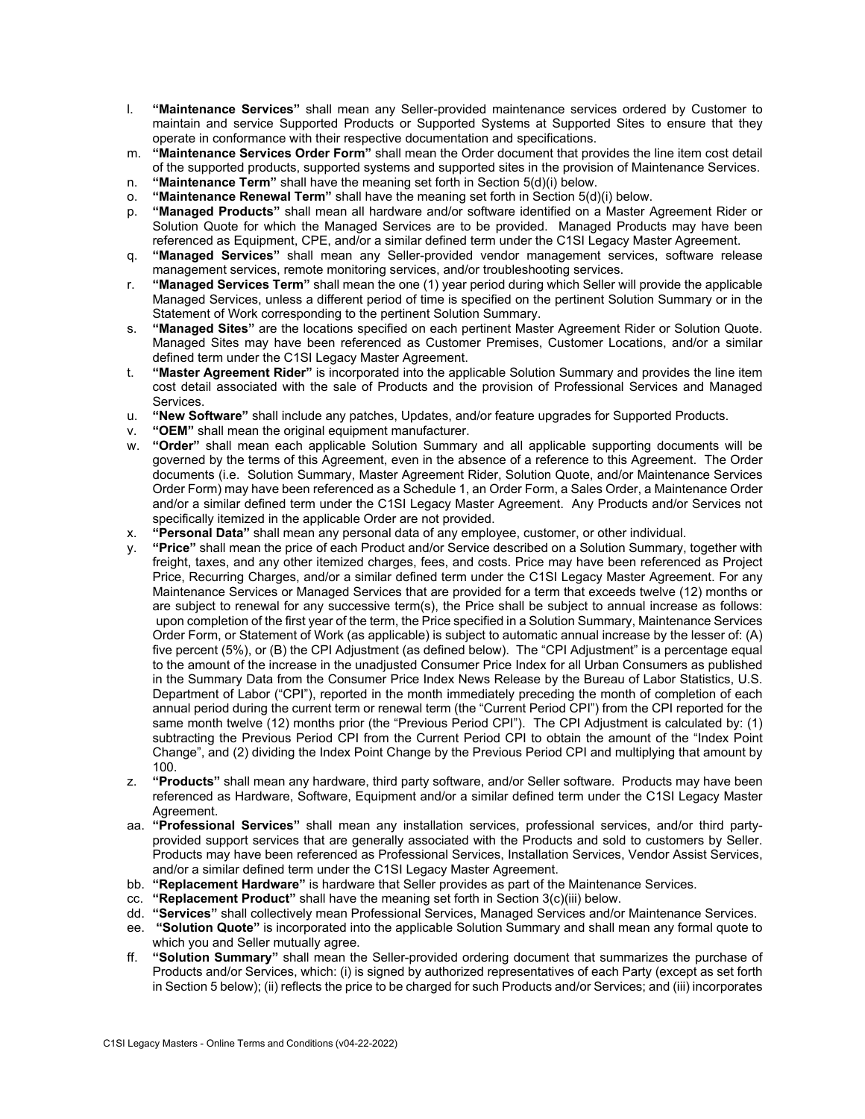- l. **"Maintenance Services"** shall mean any Seller-provided maintenance services ordered by Customer to maintain and service Supported Products or Supported Systems at Supported Sites to ensure that they operate in conformance with their respective documentation and specifications.
- m. **"Maintenance Services Order Form"** shall mean the Order document that provides the line item cost detail of the supported products, supported systems and supported sites in the provision of Maintenance Services.
- n. **"Maintenance Term"** shall have the meaning set forth in Section 5(d)(i) below.
- o. **"Maintenance Renewal Term"** shall have the meaning set forth in Section 5(d)(i) below.
- p. **"Managed Products"** shall mean all hardware and/or software identified on a Master Agreement Rider or Solution Quote for which the Managed Services are to be provided. Managed Products may have been referenced as Equipment, CPE, and/or a similar defined term under the C1SI Legacy Master Agreement.
- q. **"Managed Services"** shall mean any Seller-provided vendor management services, software release management services, remote monitoring services, and/or troubleshooting services.
- r. **"Managed Services Term"** shall mean the one (1) year period during which Seller will provide the applicable Managed Services, unless a different period of time is specified on the pertinent Solution Summary or in the Statement of Work corresponding to the pertinent Solution Summary.
- s. **"Managed Sites"** are the locations specified on each pertinent Master Agreement Rider or Solution Quote. Managed Sites may have been referenced as Customer Premises, Customer Locations, and/or a similar defined term under the C1SI Legacy Master Agreement.
- t. **"Master Agreement Rider"** is incorporated into the applicable Solution Summary and provides the line item cost detail associated with the sale of Products and the provision of Professional Services and Managed Services.
- u. **"New Software"** shall include any patches, Updates, and/or feature upgrades for Supported Products.
- v. **"OEM"** shall mean the original equipment manufacturer.
- w. **"Order"** shall mean each applicable Solution Summary and all applicable supporting documents will be governed by the terms of this Agreement, even in the absence of a reference to this Agreement. The Order documents (i.e. Solution Summary, Master Agreement Rider, Solution Quote, and/or Maintenance Services Order Form) may have been referenced as a Schedule 1, an Order Form, a Sales Order, a Maintenance Order and/or a similar defined term under the C1SI Legacy Master Agreement. Any Products and/or Services not specifically itemized in the applicable Order are not provided.
- x. **"Personal Data"** shall mean any personal data of any employee, customer, or other individual.
- y. **"Price"** shall mean the price of each Product and/or Service described on a Solution Summary, together with freight, taxes, and any other itemized charges, fees, and costs. Price may have been referenced as Project Price, Recurring Charges, and/or a similar defined term under the C1SI Legacy Master Agreement. For any Maintenance Services or Managed Services that are provided for a term that exceeds twelve (12) months or are subject to renewal for any successive term(s), the Price shall be subject to annual increase as follows: upon completion of the first year of the term, the Price specified in a Solution Summary, Maintenance Services Order Form, or Statement of Work (as applicable) is subject to automatic annual increase by the lesser of: (A) five percent (5%), or (B) the CPI Adjustment (as defined below). The "CPI Adjustment" is a percentage equal to the amount of the increase in the unadjusted Consumer Price Index for all Urban Consumers as published in the Summary Data from the Consumer Price Index News Release by the Bureau of Labor Statistics, U.S. Department of Labor ("CPI"), reported in the month immediately preceding the month of completion of each annual period during the current term or renewal term (the "Current Period CPI") from the CPI reported for the same month twelve (12) months prior (the "Previous Period CPI"). The CPI Adjustment is calculated by: (1) subtracting the Previous Period CPI from the Current Period CPI to obtain the amount of the "Index Point Change", and (2) dividing the Index Point Change by the Previous Period CPI and multiplying that amount by 100.
- z. **"Products"** shall mean any hardware, third party software, and/or Seller software. Products may have been referenced as Hardware, Software, Equipment and/or a similar defined term under the C1SI Legacy Master Agreement.
- aa. **"Professional Services"** shall mean any installation services, professional services, and/or third partyprovided support services that are generally associated with the Products and sold to customers by Seller. Products may have been referenced as Professional Services, Installation Services, Vendor Assist Services, and/or a similar defined term under the C1SI Legacy Master Agreement.
- bb. **"Replacement Hardware"** is hardware that Seller provides as part of the Maintenance Services.
- cc. **"Replacement Product"** shall have the meaning set forth in Section 3(c)(iii) below.
- dd. **"Services"** shall collectively mean Professional Services, Managed Services and/or Maintenance Services.
- ee. **"Solution Quote"** is incorporated into the applicable Solution Summary and shall mean any formal quote to which you and Seller mutually agree.
- ff. **"Solution Summary"** shall mean the Seller-provided ordering document that summarizes the purchase of Products and/or Services, which: (i) is signed by authorized representatives of each Party (except as set forth in Section 5 below); (ii) reflects the price to be charged for such Products and/or Services; and (iii) incorporates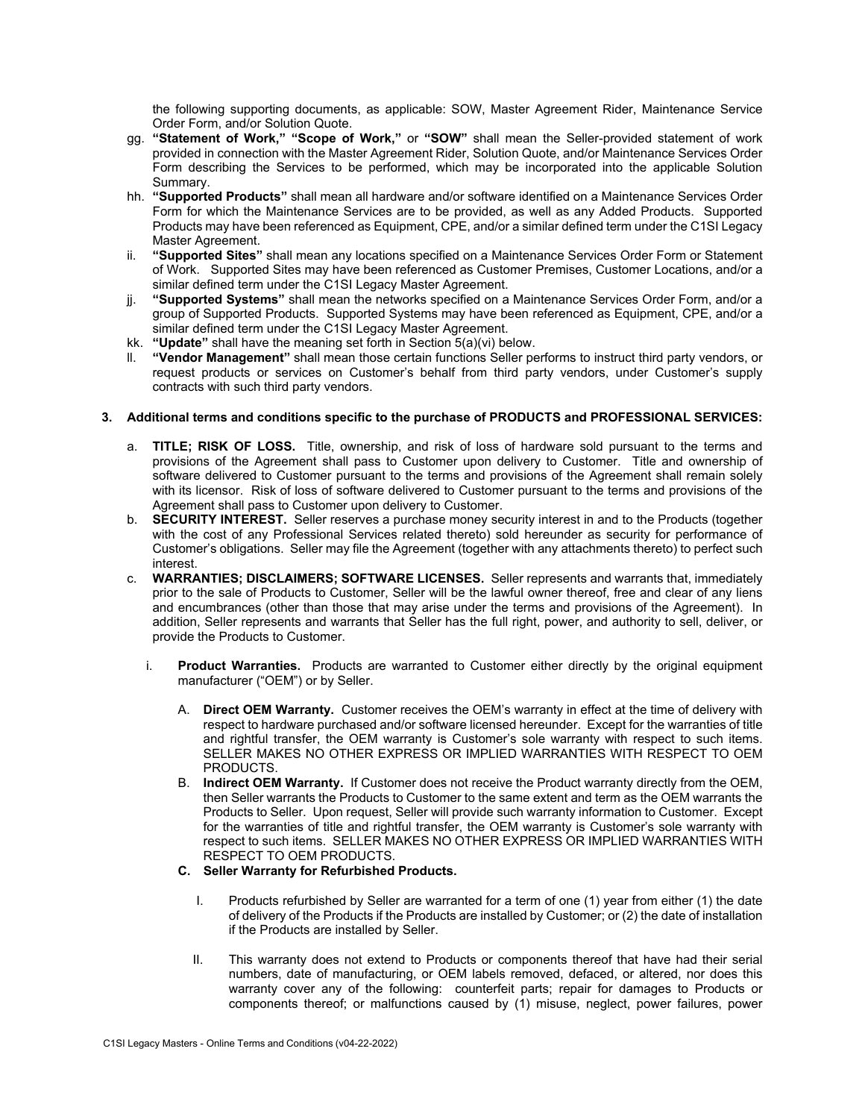the following supporting documents, as applicable: SOW, Master Agreement Rider, Maintenance Service Order Form, and/or Solution Quote.

- gg. **"Statement of Work," "Scope of Work,"** or **"SOW"** shall mean the Seller-provided statement of work provided in connection with the Master Agreement Rider, Solution Quote, and/or Maintenance Services Order Form describing the Services to be performed, which may be incorporated into the applicable Solution Summary.
- hh. **"Supported Products"** shall mean all hardware and/or software identified on a Maintenance Services Order Form for which the Maintenance Services are to be provided, as well as any Added Products. Supported Products may have been referenced as Equipment, CPE, and/or a similar defined term under the C1SI Legacy Master Agreement.
- ii. **"Supported Sites"** shall mean any locations specified on a Maintenance Services Order Form or Statement of Work. Supported Sites may have been referenced as Customer Premises, Customer Locations, and/or a similar defined term under the C1SI Legacy Master Agreement.
- jj. **"Supported Systems"** shall mean the networks specified on a Maintenance Services Order Form, and/or a group of Supported Products. Supported Systems may have been referenced as Equipment, CPE, and/or a similar defined term under the C1SI Legacy Master Agreement.
- kk. **"Update"** shall have the meaning set forth in Section 5(a)(vi) below.
- "Vendor Management" shall mean those certain functions Seller performs to instruct third party vendors, or request products or services on Customer's behalf from third party vendors, under Customer's supply contracts with such third party vendors.

### **3. Additional terms and conditions specific to the purchase of PRODUCTS and PROFESSIONAL SERVICES:**

- a. **TITLE; RISK OF LOSS.** Title, ownership, and risk of loss of hardware sold pursuant to the terms and provisions of the Agreement shall pass to Customer upon delivery to Customer. Title and ownership of software delivered to Customer pursuant to the terms and provisions of the Agreement shall remain solely with its licensor. Risk of loss of software delivered to Customer pursuant to the terms and provisions of the Agreement shall pass to Customer upon delivery to Customer.
- b. **SECURITY INTEREST.** Seller reserves a purchase money security interest in and to the Products (together with the cost of any Professional Services related thereto) sold hereunder as security for performance of Customer's obligations. Seller may file the Agreement (together with any attachments thereto) to perfect such interest.
- c. **WARRANTIES; DISCLAIMERS; SOFTWARE LICENSES.** Seller represents and warrants that, immediately prior to the sale of Products to Customer, Seller will be the lawful owner thereof, free and clear of any liens and encumbrances (other than those that may arise under the terms and provisions of the Agreement). In addition, Seller represents and warrants that Seller has the full right, power, and authority to sell, deliver, or provide the Products to Customer.
	- i. **Product Warranties.** Products are warranted to Customer either directly by the original equipment manufacturer ("OEM") or by Seller.
		- A. **Direct OEM Warranty.** Customer receives the OEM's warranty in effect at the time of delivery with respect to hardware purchased and/or software licensed hereunder. Except for the warranties of title and rightful transfer, the OEM warranty is Customer's sole warranty with respect to such items. SELLER MAKES NO OTHER EXPRESS OR IMPLIED WARRANTIES WITH RESPECT TO OEM PRODUCTS.
		- B. **Indirect OEM Warranty.** If Customer does not receive the Product warranty directly from the OEM, then Seller warrants the Products to Customer to the same extent and term as the OEM warrants the Products to Seller. Upon request, Seller will provide such warranty information to Customer. Except for the warranties of title and rightful transfer, the OEM warranty is Customer's sole warranty with respect to such items. SELLER MAKES NO OTHER EXPRESS OR IMPLIED WARRANTIES WITH RESPECT TO OEM PRODUCTS.

# **C. Seller Warranty for Refurbished Products.**

- I. Products refurbished by Seller are warranted for a term of one (1) year from either (1) the date of delivery of the Products if the Products are installed by Customer; or (2) the date of installation if the Products are installed by Seller.
- II. This warranty does not extend to Products or components thereof that have had their serial numbers, date of manufacturing, or OEM labels removed, defaced, or altered, nor does this warranty cover any of the following: counterfeit parts; repair for damages to Products or components thereof; or malfunctions caused by (1) misuse, neglect, power failures, power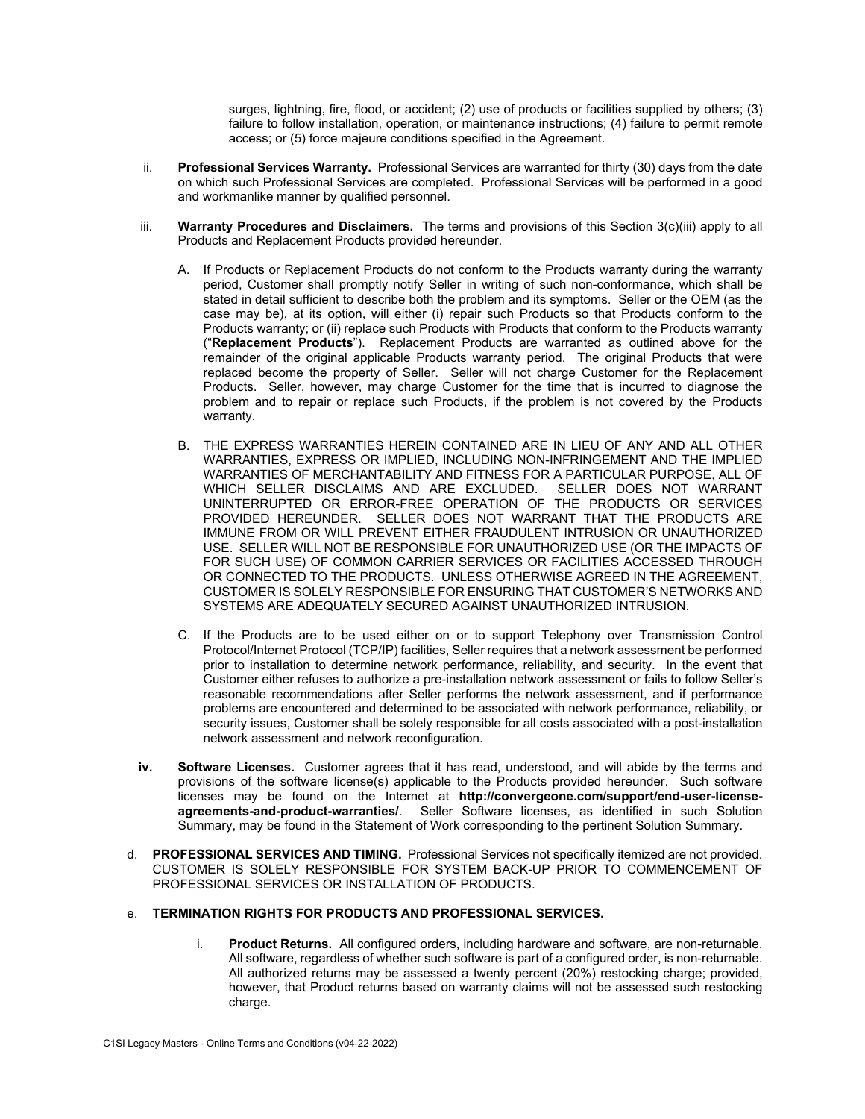surges, lightning, fire, flood, or accident; (2) use of products or facilities supplied by others; (3) failure to follow installation, operation, or maintenance instructions; (4) failure to permit remote access; or (5) force majeure conditions specified in the Agreement.

- ii. **Professional Services Warranty.** Professional Services are warranted for thirty (30) days from the date on which such Professional Services are completed. Professional Services will be performed in a good and workmanlike manner by qualified personnel.
- iii. **Warranty Procedures and Disclaimers.** The terms and provisions of this Section 3(c)(iii) apply to all Products and Replacement Products provided hereunder.
	- A. If Products or Replacement Products do not conform to the Products warranty during the warranty period, Customer shall promptly notify Seller in writing of such non-conformance, which shall be stated in detail sufficient to describe both the problem and its symptoms. Seller or the OEM (as the case may be), at its option, will either (i) repair such Products so that Products conform to the Products warranty; or (ii) replace such Products with Products that conform to the Products warranty ("**Replacement Products**"). Replacement Products are warranted as outlined above for the remainder of the original applicable Products warranty period. The original Products that were replaced become the property of Seller. Seller will not charge Customer for the Replacement Products. Seller, however, may charge Customer for the time that is incurred to diagnose the problem and to repair or replace such Products, if the problem is not covered by the Products warranty.
	- B. THE EXPRESS WARRANTIES HEREIN CONTAINED ARE IN LIEU OF ANY AND ALL OTHER WARRANTIES, EXPRESS OR IMPLIED, INCLUDING NON-INFRINGEMENT AND THE IMPLIED WARRANTIES OF MERCHANTABILITY AND FITNESS FOR A PARTICULAR PURPOSE, ALL OF WHICH SELLER DISCLAIMS AND ARE EXCLUDED. SELLER DOES NOT WARRANT UNINTERRUPTED OR ERROR-FREE OPERATION OF THE PRODUCTS OR SERVICES PROVIDED HEREUNDER. SELLER DOES NOT WARRANT THAT THE PRODUCTS ARE IMMUNE FROM OR WILL PREVENT EITHER FRAUDULENT INTRUSION OR UNAUTHORIZED USE. SELLER WILL NOT BE RESPONSIBLE FOR UNAUTHORIZED USE (OR THE IMPACTS OF FOR SUCH USE) OF COMMON CARRIER SERVICES OR FACILITIES ACCESSED THROUGH OR CONNECTED TO THE PRODUCTS. UNLESS OTHERWISE AGREED IN THE AGREEMENT, CUSTOMER IS SOLELY RESPONSIBLE FOR ENSURING THAT CUSTOMER'S NETWORKS AND SYSTEMS ARE ADEQUATELY SECURED AGAINST UNAUTHORIZED INTRUSION.
	- C. If the Products are to be used either on or to support Telephony over Transmission Control Protocol/Internet Protocol (TCP/IP) facilities, Seller requires that a network assessment be performed prior to installation to determine network performance, reliability, and security. In the event that Customer either refuses to authorize a pre-installation network assessment or fails to follow Seller's reasonable recommendations after Seller performs the network assessment, and if performance problems are encountered and determined to be associated with network performance, reliability, or security issues, Customer shall be solely responsible for all costs associated with a post-installation network assessment and network reconfiguration.
- **iv. Software Licenses.** Customer agrees that it has read, understood, and will abide by the terms and provisions of the software license(s) applicable to the Products provided hereunder. Such software licenses may be found on the Internet at **http://convergeone.com/support/end-user-licenseagreements-and-product-warranties/**. Seller Software licenses, as identified in such Solution Summary, may be found in the Statement of Work corresponding to the pertinent Solution Summary.
- d. **PROFESSIONAL SERVICES AND TIMING.** Professional Services not specifically itemized are not provided. CUSTOMER IS SOLELY RESPONSIBLE FOR SYSTEM BACK-UP PRIOR TO COMMENCEMENT OF PROFESSIONAL SERVICES OR INSTALLATION OF PRODUCTS.
- e. **TERMINATION RIGHTS FOR PRODUCTS AND PROFESSIONAL SERVICES.** 
	- i. **Product Returns.** All configured orders, including hardware and software, are non-returnable. All software, regardless of whether such software is part of a configured order, is non-returnable. All authorized returns may be assessed a twenty percent (20%) restocking charge; provided, however, that Product returns based on warranty claims will not be assessed such restocking charge.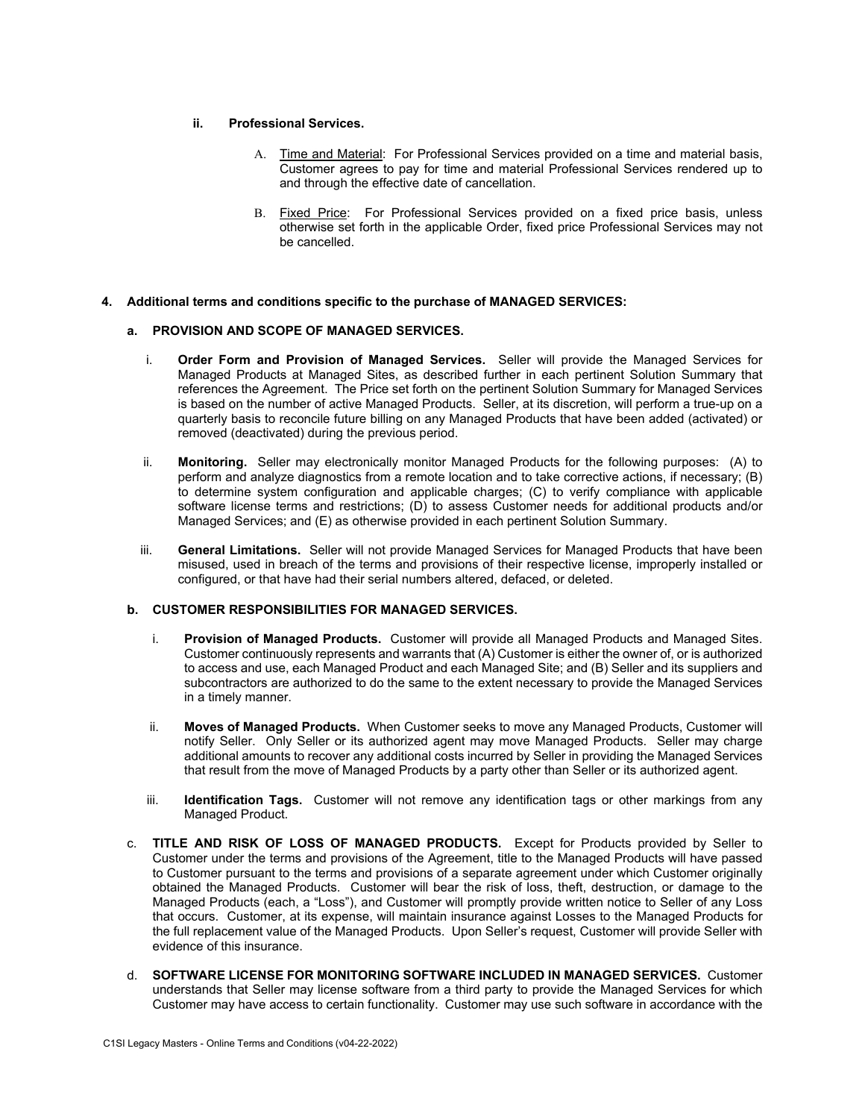### **ii. Professional Services.**

- A. Time and Material: For Professional Services provided on a time and material basis, Customer agrees to pay for time and material Professional Services rendered up to and through the effective date of cancellation.
- B. Fixed Price: For Professional Services provided on a fixed price basis, unless otherwise set forth in the applicable Order, fixed price Professional Services may not be cancelled.
- **4. Additional terms and conditions specific to the purchase of MANAGED SERVICES:**

#### **a. PROVISION AND SCOPE OF MANAGED SERVICES.**

- i. **Order Form and Provision of Managed Services.** Seller will provide the Managed Services for Managed Products at Managed Sites, as described further in each pertinent Solution Summary that references the Agreement. The Price set forth on the pertinent Solution Summary for Managed Services is based on the number of active Managed Products. Seller, at its discretion, will perform a true-up on a quarterly basis to reconcile future billing on any Managed Products that have been added (activated) or removed (deactivated) during the previous period.
- ii. **Monitoring.** Seller may electronically monitor Managed Products for the following purposes: (A) to perform and analyze diagnostics from a remote location and to take corrective actions, if necessary; (B) to determine system configuration and applicable charges; (C) to verify compliance with applicable software license terms and restrictions; (D) to assess Customer needs for additional products and/or Managed Services; and (E) as otherwise provided in each pertinent Solution Summary.
- iii. **General Limitations.** Seller will not provide Managed Services for Managed Products that have been misused, used in breach of the terms and provisions of their respective license, improperly installed or configured, or that have had their serial numbers altered, defaced, or deleted.

### **b. CUSTOMER RESPONSIBILITIES FOR MANAGED SERVICES.**

- i. **Provision of Managed Products.** Customer will provide all Managed Products and Managed Sites. Customer continuously represents and warrants that (A) Customer is either the owner of, or is authorized to access and use, each Managed Product and each Managed Site; and (B) Seller and its suppliers and subcontractors are authorized to do the same to the extent necessary to provide the Managed Services in a timely manner.
- ii. **Moves of Managed Products.** When Customer seeks to move any Managed Products, Customer will notify Seller. Only Seller or its authorized agent may move Managed Products. Seller may charge additional amounts to recover any additional costs incurred by Seller in providing the Managed Services that result from the move of Managed Products by a party other than Seller or its authorized agent.
- iii. **Identification Tags.** Customer will not remove any identification tags or other markings from any Managed Product.
- c. **TITLE AND RISK OF LOSS OF MANAGED PRODUCTS.** Except for Products provided by Seller to Customer under the terms and provisions of the Agreement, title to the Managed Products will have passed to Customer pursuant to the terms and provisions of a separate agreement under which Customer originally obtained the Managed Products. Customer will bear the risk of loss, theft, destruction, or damage to the Managed Products (each, a "Loss"), and Customer will promptly provide written notice to Seller of any Loss that occurs. Customer, at its expense, will maintain insurance against Losses to the Managed Products for the full replacement value of the Managed Products. Upon Seller's request, Customer will provide Seller with evidence of this insurance.
- d. **SOFTWARE LICENSE FOR MONITORING SOFTWARE INCLUDED IN MANAGED SERVICES.** Customer understands that Seller may license software from a third party to provide the Managed Services for which Customer may have access to certain functionality. Customer may use such software in accordance with the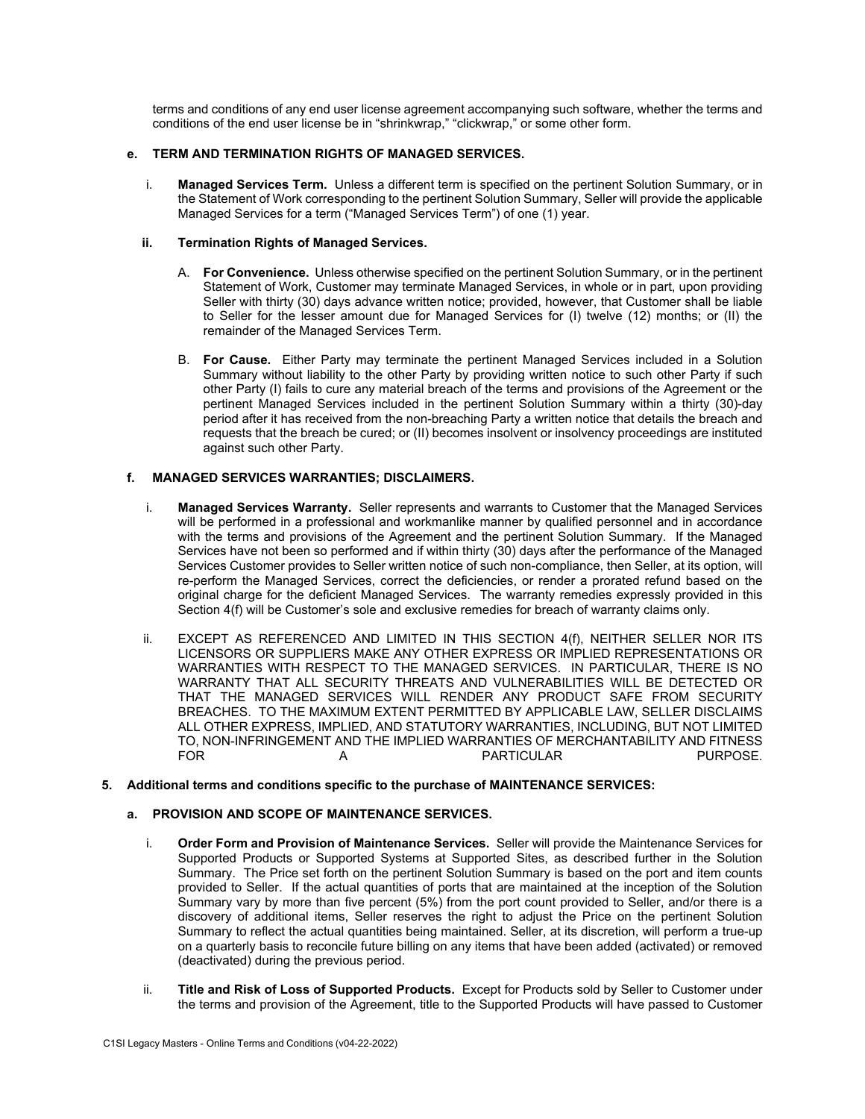terms and conditions of any end user license agreement accompanying such software, whether the terms and conditions of the end user license be in "shrinkwrap," "clickwrap," or some other form.

### **e. TERM AND TERMINATION RIGHTS OF MANAGED SERVICES.**

i. **Managed Services Term.** Unless a different term is specified on the pertinent Solution Summary, or in the Statement of Work corresponding to the pertinent Solution Summary, Seller will provide the applicable Managed Services for a term ("Managed Services Term") of one (1) year.

#### **ii. Termination Rights of Managed Services.**

- A. **For Convenience.** Unless otherwise specified on the pertinent Solution Summary, or in the pertinent Statement of Work, Customer may terminate Managed Services, in whole or in part, upon providing Seller with thirty (30) days advance written notice; provided, however, that Customer shall be liable to Seller for the lesser amount due for Managed Services for (I) twelve (12) months; or (II) the remainder of the Managed Services Term.
- B. **For Cause.** Either Party may terminate the pertinent Managed Services included in a Solution Summary without liability to the other Party by providing written notice to such other Party if such other Party (I) fails to cure any material breach of the terms and provisions of the Agreement or the pertinent Managed Services included in the pertinent Solution Summary within a thirty (30)-day period after it has received from the non-breaching Party a written notice that details the breach and requests that the breach be cured; or (II) becomes insolvent or insolvency proceedings are instituted against such other Party.

# **f. MANAGED SERVICES WARRANTIES; DISCLAIMERS.**

- i. **Managed Services Warranty.** Seller represents and warrants to Customer that the Managed Services will be performed in a professional and workmanlike manner by qualified personnel and in accordance with the terms and provisions of the Agreement and the pertinent Solution Summary. If the Managed Services have not been so performed and if within thirty (30) days after the performance of the Managed Services Customer provides to Seller written notice of such non-compliance, then Seller, at its option, will re-perform the Managed Services, correct the deficiencies, or render a prorated refund based on the original charge for the deficient Managed Services. The warranty remedies expressly provided in this Section 4(f) will be Customer's sole and exclusive remedies for breach of warranty claims only.
- ii. EXCEPT AS REFERENCED AND LIMITED IN THIS SECTION 4(f), NEITHER SELLER NOR ITS LICENSORS OR SUPPLIERS MAKE ANY OTHER EXPRESS OR IMPLIED REPRESENTATIONS OR WARRANTIES WITH RESPECT TO THE MANAGED SERVICES. IN PARTICULAR, THERE IS NO WARRANTY THAT ALL SECURITY THREATS AND VULNERABILITIES WILL BE DETECTED OR THAT THE MANAGED SERVICES WILL RENDER ANY PRODUCT SAFE FROM SECURITY BREACHES. TO THE MAXIMUM EXTENT PERMITTED BY APPLICABLE LAW, SELLER DISCLAIMS ALL OTHER EXPRESS, IMPLIED, AND STATUTORY WARRANTIES, INCLUDING, BUT NOT LIMITED TO, NON-INFRINGEMENT AND THE IMPLIED WARRANTIES OF MERCHANTABILITY AND FITNESS A PARTICULAR

# **5. Additional terms and conditions specific to the purchase of MAINTENANCE SERVICES:**

### **a. PROVISION AND SCOPE OF MAINTENANCE SERVICES.**

- i. **Order Form and Provision of Maintenance Services.** Seller will provide the Maintenance Services for Supported Products or Supported Systems at Supported Sites, as described further in the Solution Summary. The Price set forth on the pertinent Solution Summary is based on the port and item counts provided to Seller. If the actual quantities of ports that are maintained at the inception of the Solution Summary vary by more than five percent (5%) from the port count provided to Seller, and/or there is a discovery of additional items, Seller reserves the right to adjust the Price on the pertinent Solution Summary to reflect the actual quantities being maintained. Seller, at its discretion, will perform a true-up on a quarterly basis to reconcile future billing on any items that have been added (activated) or removed (deactivated) during the previous period.
- ii. **Title and Risk of Loss of Supported Products.** Except for Products sold by Seller to Customer under the terms and provision of the Agreement, title to the Supported Products will have passed to Customer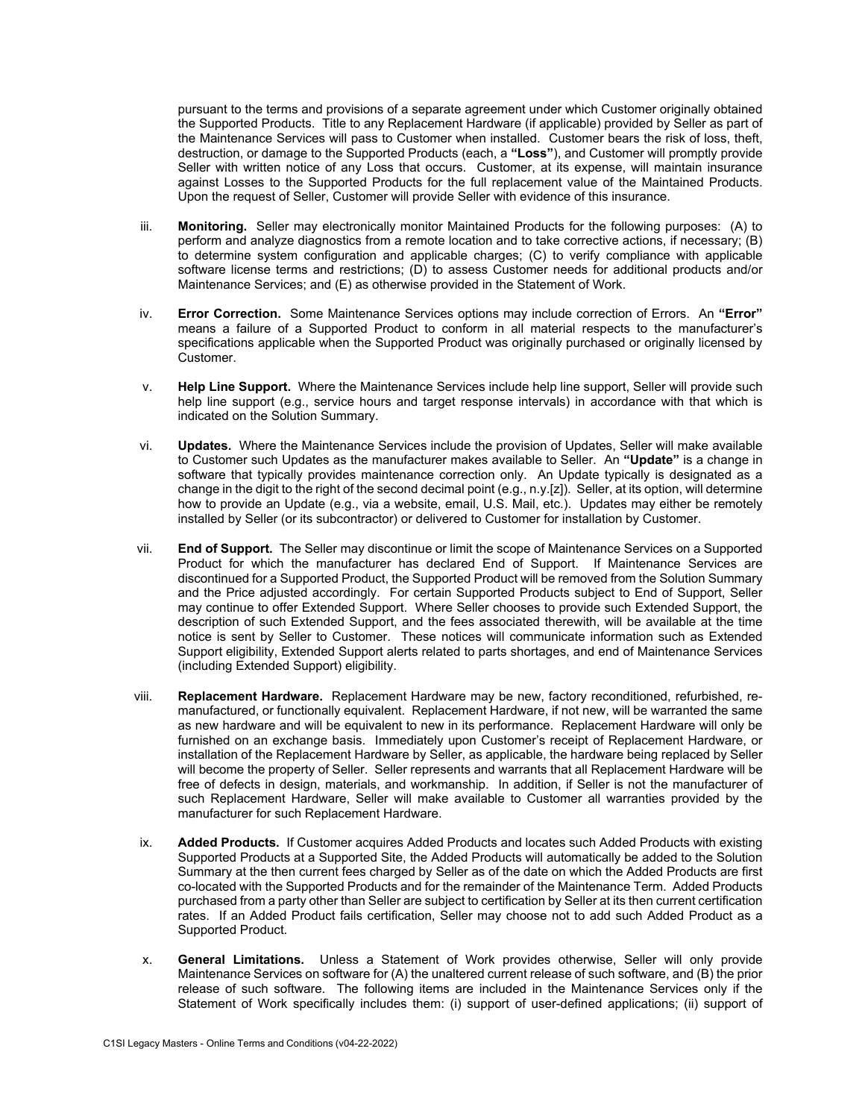pursuant to the terms and provisions of a separate agreement under which Customer originally obtained the Supported Products. Title to any Replacement Hardware (if applicable) provided by Seller as part of the Maintenance Services will pass to Customer when installed. Customer bears the risk of loss, theft, destruction, or damage to the Supported Products (each, a **"Loss"**), and Customer will promptly provide Seller with written notice of any Loss that occurs. Customer, at its expense, will maintain insurance against Losses to the Supported Products for the full replacement value of the Maintained Products. Upon the request of Seller, Customer will provide Seller with evidence of this insurance.

- iii. **Monitoring.** Seller may electronically monitor Maintained Products for the following purposes: (A) to perform and analyze diagnostics from a remote location and to take corrective actions, if necessary; (B) to determine system configuration and applicable charges; (C) to verify compliance with applicable software license terms and restrictions; (D) to assess Customer needs for additional products and/or Maintenance Services; and (E) as otherwise provided in the Statement of Work.
- iv. **Error Correction.** Some Maintenance Services options may include correction of Errors. An **"Error"** means a failure of a Supported Product to conform in all material respects to the manufacturer's specifications applicable when the Supported Product was originally purchased or originally licensed by Customer.
- v. **Help Line Support.** Where the Maintenance Services include help line support, Seller will provide such help line support (e.g., service hours and target response intervals) in accordance with that which is indicated on the Solution Summary.
- vi. **Updates.** Where the Maintenance Services include the provision of Updates, Seller will make available to Customer such Updates as the manufacturer makes available to Seller. An **"Update"** is a change in software that typically provides maintenance correction only. An Update typically is designated as a change in the digit to the right of the second decimal point (e.g., n.y.[z]). Seller, at its option, will determine how to provide an Update (e.g., via a website, email, U.S. Mail, etc.). Updates may either be remotely installed by Seller (or its subcontractor) or delivered to Customer for installation by Customer.
- vii. **End of Support.** The Seller may discontinue or limit the scope of Maintenance Services on a Supported Product for which the manufacturer has declared End of Support. If Maintenance Services are discontinued for a Supported Product, the Supported Product will be removed from the Solution Summary and the Price adjusted accordingly. For certain Supported Products subject to End of Support, Seller may continue to offer Extended Support. Where Seller chooses to provide such Extended Support, the description of such Extended Support, and the fees associated therewith, will be available at the time notice is sent by Seller to Customer. These notices will communicate information such as Extended Support eligibility, Extended Support alerts related to parts shortages, and end of Maintenance Services (including Extended Support) eligibility.
- viii. **Replacement Hardware.** Replacement Hardware may be new, factory reconditioned, refurbished, remanufactured, or functionally equivalent. Replacement Hardware, if not new, will be warranted the same as new hardware and will be equivalent to new in its performance. Replacement Hardware will only be furnished on an exchange basis. Immediately upon Customer's receipt of Replacement Hardware, or installation of the Replacement Hardware by Seller, as applicable, the hardware being replaced by Seller will become the property of Seller. Seller represents and warrants that all Replacement Hardware will be free of defects in design, materials, and workmanship. In addition, if Seller is not the manufacturer of such Replacement Hardware, Seller will make available to Customer all warranties provided by the manufacturer for such Replacement Hardware.
- ix. **Added Products.** If Customer acquires Added Products and locates such Added Products with existing Supported Products at a Supported Site, the Added Products will automatically be added to the Solution Summary at the then current fees charged by Seller as of the date on which the Added Products are first co-located with the Supported Products and for the remainder of the Maintenance Term. Added Products purchased from a party other than Seller are subject to certification by Seller at its then current certification rates. If an Added Product fails certification, Seller may choose not to add such Added Product as a Supported Product.
- x. **General Limitations.** Unless a Statement of Work provides otherwise, Seller will only provide Maintenance Services on software for (A) the unaltered current release of such software, and (B) the prior release of such software. The following items are included in the Maintenance Services only if the Statement of Work specifically includes them: (i) support of user-defined applications; (ii) support of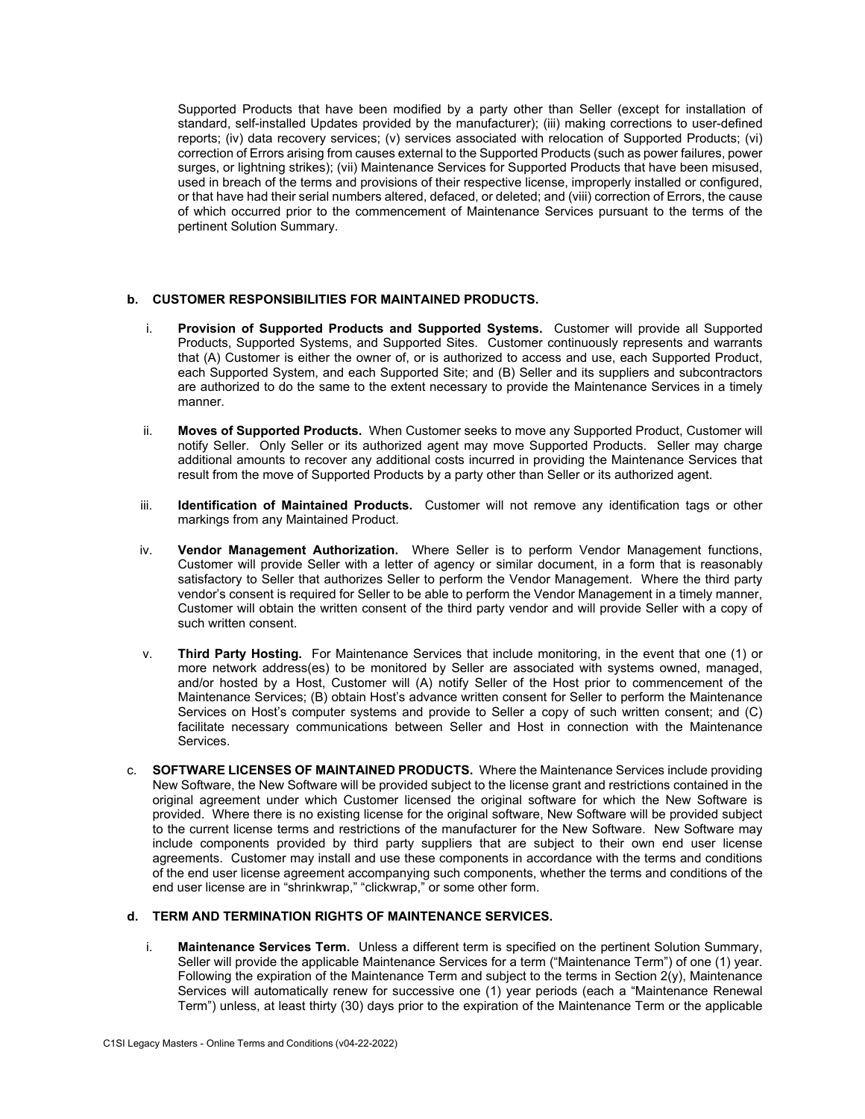Supported Products that have been modified by a party other than Seller (except for installation of standard, self-installed Updates provided by the manufacturer); (iii) making corrections to user-defined reports; (iv) data recovery services; (v) services associated with relocation of Supported Products; (vi) correction of Errors arising from causes external to the Supported Products (such as power failures, power surges, or lightning strikes); (vii) Maintenance Services for Supported Products that have been misused, used in breach of the terms and provisions of their respective license, improperly installed or configured, or that have had their serial numbers altered, defaced, or deleted; and (viii) correction of Errors, the cause of which occurred prior to the commencement of Maintenance Services pursuant to the terms of the pertinent Solution Summary.

### **b. CUSTOMER RESPONSIBILITIES FOR MAINTAINED PRODUCTS.**

- i. **Provision of Supported Products and Supported Systems.** Customer will provide all Supported Products, Supported Systems, and Supported Sites. Customer continuously represents and warrants that (A) Customer is either the owner of, or is authorized to access and use, each Supported Product, each Supported System, and each Supported Site; and (B) Seller and its suppliers and subcontractors are authorized to do the same to the extent necessary to provide the Maintenance Services in a timely manner.
- ii. **Moves of Supported Products.** When Customer seeks to move any Supported Product, Customer will notify Seller. Only Seller or its authorized agent may move Supported Products. Seller may charge additional amounts to recover any additional costs incurred in providing the Maintenance Services that result from the move of Supported Products by a party other than Seller or its authorized agent.
- iii. **Identification of Maintained Products.** Customer will not remove any identification tags or other markings from any Maintained Product.
- iv. **Vendor Management Authorization.** Where Seller is to perform Vendor Management functions, Customer will provide Seller with a letter of agency or similar document, in a form that is reasonably satisfactory to Seller that authorizes Seller to perform the Vendor Management. Where the third party vendor's consent is required for Seller to be able to perform the Vendor Management in a timely manner, Customer will obtain the written consent of the third party vendor and will provide Seller with a copy of such written consent.
- v. **Third Party Hosting.** For Maintenance Services that include monitoring, in the event that one (1) or more network address(es) to be monitored by Seller are associated with systems owned, managed, and/or hosted by a Host, Customer will (A) notify Seller of the Host prior to commencement of the Maintenance Services; (B) obtain Host's advance written consent for Seller to perform the Maintenance Services on Host's computer systems and provide to Seller a copy of such written consent; and (C) facilitate necessary communications between Seller and Host in connection with the Maintenance Services.
- c. **SOFTWARE LICENSES OF MAINTAINED PRODUCTS.** Where the Maintenance Services include providing New Software, the New Software will be provided subject to the license grant and restrictions contained in the original agreement under which Customer licensed the original software for which the New Software is provided. Where there is no existing license for the original software, New Software will be provided subject to the current license terms and restrictions of the manufacturer for the New Software. New Software may include components provided by third party suppliers that are subject to their own end user license agreements. Customer may install and use these components in accordance with the terms and conditions of the end user license agreement accompanying such components, whether the terms and conditions of the end user license are in "shrinkwrap," "clickwrap," or some other form.

### **d. TERM AND TERMINATION RIGHTS OF MAINTENANCE SERVICES.**

i. **Maintenance Services Term.** Unless a different term is specified on the pertinent Solution Summary, Seller will provide the applicable Maintenance Services for a term ("Maintenance Term") of one (1) year. Following the expiration of the Maintenance Term and subject to the terms in Section  $2(y)$ , Maintenance Services will automatically renew for successive one (1) year periods (each a "Maintenance Renewal Term") unless, at least thirty (30) days prior to the expiration of the Maintenance Term or the applicable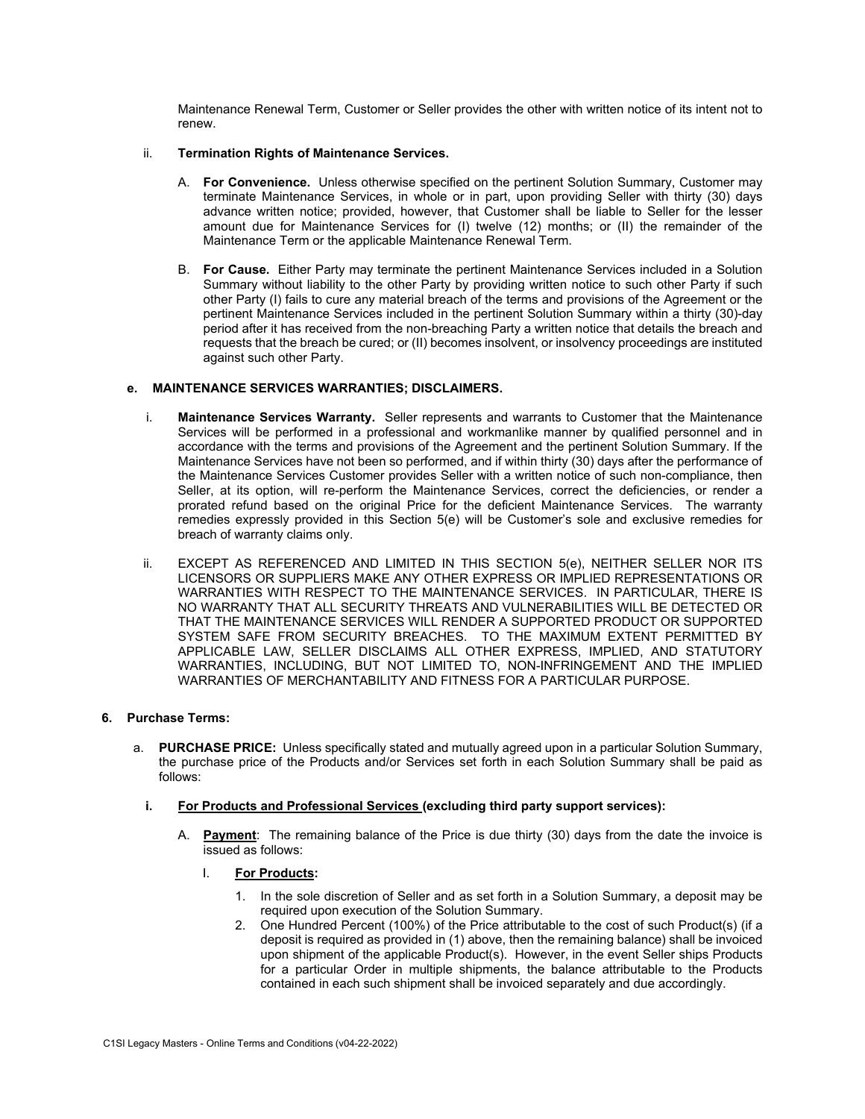Maintenance Renewal Term, Customer or Seller provides the other with written notice of its intent not to renew.

#### ii. **Termination Rights of Maintenance Services.**

- A. **For Convenience.** Unless otherwise specified on the pertinent Solution Summary, Customer may terminate Maintenance Services, in whole or in part, upon providing Seller with thirty (30) days advance written notice; provided, however, that Customer shall be liable to Seller for the lesser amount due for Maintenance Services for (I) twelve (12) months; or (II) the remainder of the Maintenance Term or the applicable Maintenance Renewal Term.
- B. **For Cause.** Either Party may terminate the pertinent Maintenance Services included in a Solution Summary without liability to the other Party by providing written notice to such other Party if such other Party (I) fails to cure any material breach of the terms and provisions of the Agreement or the pertinent Maintenance Services included in the pertinent Solution Summary within a thirty (30)-day period after it has received from the non-breaching Party a written notice that details the breach and requests that the breach be cured; or (II) becomes insolvent, or insolvency proceedings are instituted against such other Party.

### **e. MAINTENANCE SERVICES WARRANTIES; DISCLAIMERS.**

- i. **Maintenance Services Warranty.** Seller represents and warrants to Customer that the Maintenance Services will be performed in a professional and workmanlike manner by qualified personnel and in accordance with the terms and provisions of the Agreement and the pertinent Solution Summary. If the Maintenance Services have not been so performed, and if within thirty (30) days after the performance of the Maintenance Services Customer provides Seller with a written notice of such non-compliance, then Seller, at its option, will re-perform the Maintenance Services, correct the deficiencies, or render a prorated refund based on the original Price for the deficient Maintenance Services. The warranty remedies expressly provided in this Section 5(e) will be Customer's sole and exclusive remedies for breach of warranty claims only.
- ii. EXCEPT AS REFERENCED AND LIMITED IN THIS SECTION 5(e), NEITHER SELLER NOR ITS LICENSORS OR SUPPLIERS MAKE ANY OTHER EXPRESS OR IMPLIED REPRESENTATIONS OR WARRANTIES WITH RESPECT TO THE MAINTENANCE SERVICES. IN PARTICULAR, THERE IS NO WARRANTY THAT ALL SECURITY THREATS AND VULNERABILITIES WILL BE DETECTED OR THAT THE MAINTENANCE SERVICES WILL RENDER A SUPPORTED PRODUCT OR SUPPORTED SYSTEM SAFE FROM SECURITY BREACHES. TO THE MAXIMUM EXTENT PERMITTED BY APPLICABLE LAW, SELLER DISCLAIMS ALL OTHER EXPRESS, IMPLIED, AND STATUTORY WARRANTIES, INCLUDING, BUT NOT LIMITED TO, NON-INFRINGEMENT AND THE IMPLIED WARRANTIES OF MERCHANTABILITY AND FITNESS FOR A PARTICULAR PURPOSE.

# **6. Purchase Terms:**

- a. **PURCHASE PRICE:** Unless specifically stated and mutually agreed upon in a particular Solution Summary, the purchase price of the Products and/or Services set forth in each Solution Summary shall be paid as follows:
	- **i. For Products and Professional Services (excluding third party support services):** 
		- A. **Payment**: The remaining balance of the Price is due thirty (30) days from the date the invoice is issued as follows:
			- I. **For Products:** 
				- 1. In the sole discretion of Seller and as set forth in a Solution Summary, a deposit may be required upon execution of the Solution Summary.
				- 2. One Hundred Percent (100%) of the Price attributable to the cost of such Product(s) (if a deposit is required as provided in (1) above, then the remaining balance) shall be invoiced upon shipment of the applicable Product(s). However, in the event Seller ships Products for a particular Order in multiple shipments, the balance attributable to the Products contained in each such shipment shall be invoiced separately and due accordingly.